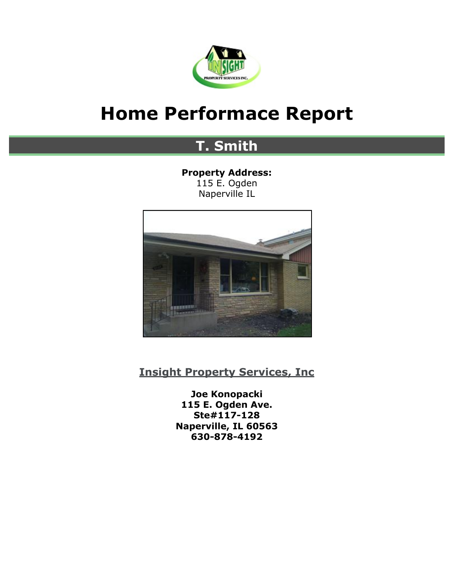

# <span id="page-0-0"></span>**Home Performace Report**

# **T. Smith**

**Property Address:** 115 E. Ogden Naperville IL



## **[Insight Property Services, Inc](http://insightpropertyservicesinc.com)**

**Joe Konopacki 115 E. Ogden Ave. Ste#117-128 Naperville, IL 60563 630-878-4192**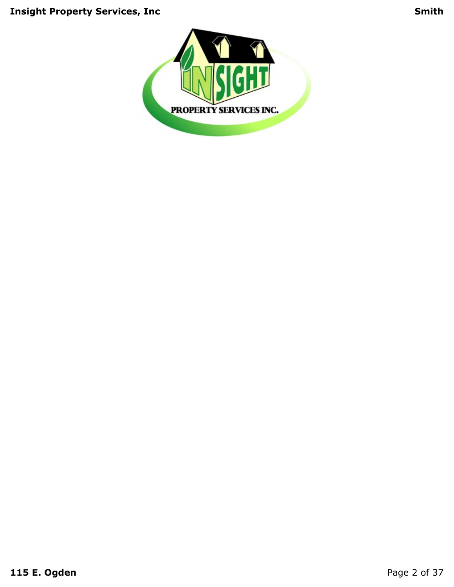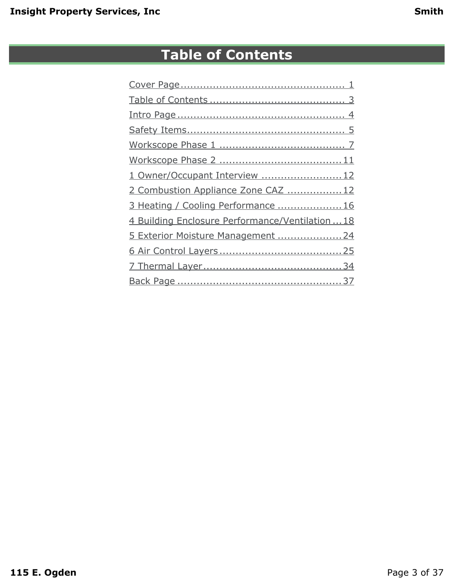# **Table of Contents**

<span id="page-2-0"></span>

| 1 Owner/Occupant Interview  12                   |
|--------------------------------------------------|
| 2 Combustion Appliance Zone CAZ 12               |
| 3 Heating / Cooling Performance  16              |
| 4 Building Enclosure Performance/Ventilation  18 |
| 5 Exterior Moisture Management 24                |
|                                                  |
|                                                  |
|                                                  |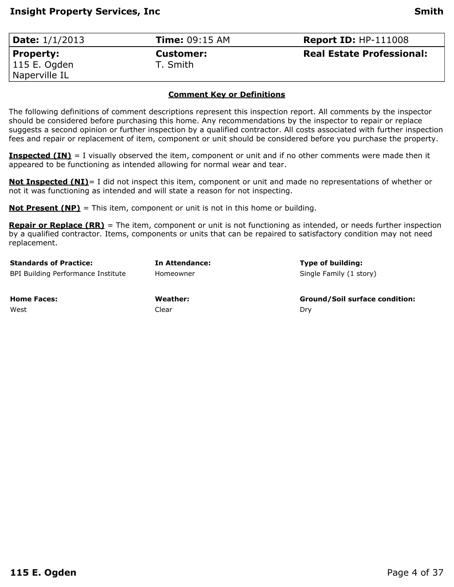<span id="page-3-0"></span>

| <b>Date:</b> $1/1/2013$ | <b>Time: 09:15 AM</b> | <b>Report ID: HP-111008</b>      |
|-------------------------|-----------------------|----------------------------------|
| Property:               | <b>Customer:</b>      | <b>Real Estate Professional:</b> |
| 115 E. Ogden            | T. Smith              |                                  |
| Naperville IL           |                       |                                  |

#### **Comment Key or Definitions**

The following definitions of comment descriptions represent this inspection report. All comments by the inspector should be considered before purchasing this home. Any recommendations by the inspector to repair or replace suggests a second opinion or further inspection by a qualified contractor. All costs associated with further inspection fees and repair or replacement of item, component or unit should be considered before you purchase the property.

**Inspected (IN)** = I visually observed the item, component or unit and if no other comments were made then it appeared to be functioning as intended allowing for normal wear and tear.

**Not Inspected (NI)**= I did not inspect this item, component or unit and made no representations of whether or not it was functioning as intended and will state a reason for not inspecting.

**Not Present (NP)** = This item, component or unit is not in this home or building.

**Repair or Replace (RR)** = The item, component or unit is not functioning as intended, or needs further inspection by a qualified contractor. Items, components or units that can be repaired to satisfactory condition may not need replacement.

| <b>Standards of Practice:</b>      | <b>In Attendance:</b> | <b>Type of building:</b>              |
|------------------------------------|-----------------------|---------------------------------------|
| BPI Building Performance Institute | Homeowner             | Single Family (1 story)               |
| <b>Home Faces:</b>                 | Weather:              | <b>Ground/Soil surface condition:</b> |
| West                               | Clear                 | Dry                                   |
|                                    |                       |                                       |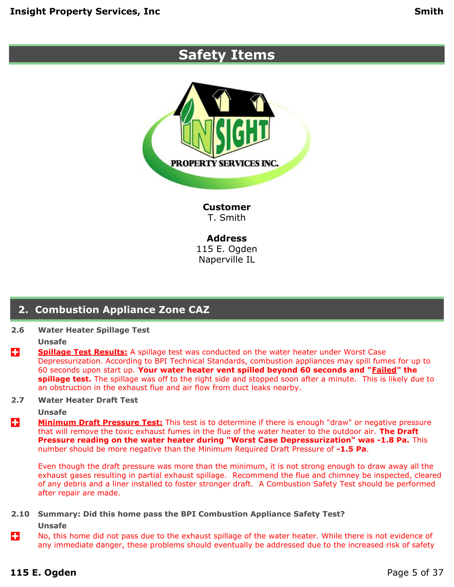# **Safety Items**

<span id="page-4-0"></span>

**Customer** T. Smith

**Address** 115 E. Ogden Naperville IL

## **2. Combustion Appliance Zone CAZ**

**2.6 Water Heater Spillage Test**

#### **Unsafe**

**Spillage Test Results:** A spillage test was conducted on the water heater under Worst Case ÷ Depressurization. According to BPI Technical Standards, combustion appliances may spill fumes for up to 60 seconds upon start up. **Your water heater vent spilled beyond 60 seconds and "Failed" the spillage test.** The spillage was off to the right side and stopped soon after a minute. This is likely due to an obstruction in the exhaust flue and air flow from duct leaks nearby.

#### **2.7 Water Heater Draft Test**

#### **Unsafe**

÷ **Minimum Draft Pressure Test:** This test is to determine if there is enough "draw" or negative pressure that will remove the toxic exhaust fumes in the flue of the water heater to the outdoor air. **The Draft Pressure reading on the water heater during "Worst Case Depressurization" was -1.8 Pa.** This number should be more negative than the Minimum Required Draft Pressure of **-1.5 Pa**.

Even though the draft pressure was more than the minimum, it is not strong enough to draw away all the exhaust gases resulting in partial exhaust spillage. Recommend the flue and chimney be inspected, cleared of any debris and a liner installed to foster stronger draft. A Combustion Safety Test should be performed after repair are made.

#### **2.10 Summary: Did this home pass the BPI Combustion Appliance Safety Test?**

#### **Unsafe**

÷ No, this home did not pass due to the exhaust spillage of the water heater. While there is not evidence of any immediate danger, these problems should eventually be addressed due to the increased risk of safety

## **115 E. Ogden** Page 5 of 37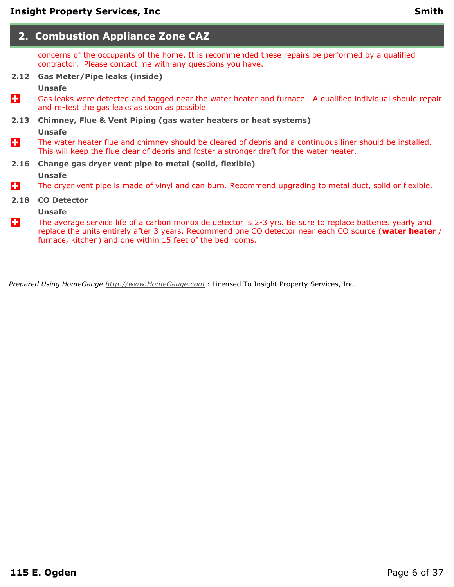|      | 2. Combustion Appliance Zone CAZ                                                                                                                                                                                                                                                    |
|------|-------------------------------------------------------------------------------------------------------------------------------------------------------------------------------------------------------------------------------------------------------------------------------------|
|      | concerns of the occupants of the home. It is recommended these repairs be performed by a qualified<br>contractor. Please contact me with any questions you have.                                                                                                                    |
| 2.12 | <b>Gas Meter/Pipe leaks (inside)</b>                                                                                                                                                                                                                                                |
|      | <b>Unsafe</b>                                                                                                                                                                                                                                                                       |
| н    | Gas leaks were detected and tagged near the water heater and furnace. A qualified individual should repair<br>and re-test the gas leaks as soon as possible.                                                                                                                        |
| 2.13 | Chimney, Flue & Vent Piping (gas water heaters or heat systems)                                                                                                                                                                                                                     |
|      | <b>Unsafe</b>                                                                                                                                                                                                                                                                       |
| ÷    | The water heater flue and chimney should be cleared of debris and a continuous liner should be installed.<br>This will keep the flue clear of debris and foster a stronger draft for the water heater.                                                                              |
| 2.16 | Change gas dryer vent pipe to metal (solid, flexible)                                                                                                                                                                                                                               |
|      | <b>Unsafe</b>                                                                                                                                                                                                                                                                       |
| н    | The dryer vent pipe is made of vinyl and can burn. Recommend upgrading to metal duct, solid or flexible.                                                                                                                                                                            |
| 2.18 | <b>CO Detector</b>                                                                                                                                                                                                                                                                  |
|      | <b>Unsafe</b>                                                                                                                                                                                                                                                                       |
| н    | The average service life of a carbon monoxide detector is 2-3 yrs. Be sure to replace batteries yearly and<br>replace the units entirely after 3 years. Recommend one CO detector near each CO source (water heater /<br>furnace, kitchen) and one within 15 feet of the bed rooms. |
|      |                                                                                                                                                                                                                                                                                     |

*Prepared Using HomeGauge <http://www.HomeGauge.com>* : Licensed To Insight Property Services, Inc.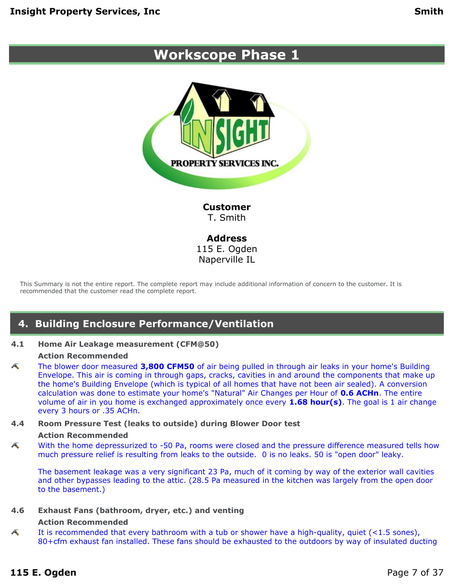# **Workscope Phase 1**

<span id="page-6-0"></span>

**Customer** T. Smith

**Address** 115 E. Ogden Naperville IL

This Summary is not the entire report. The complete report may include additional information of concern to the customer. It is recommended that the customer read the complete report.

## **4. Building Enclosure Performance/Ventilation**

#### **4.1 Home Air Leakage measurement (CFM@50) Action Recommended**

The blower door measured **3,800 CFM50** of air being pulled in through air leaks in your home's Building Envelope. This air is coming in through gaps, cracks, cavities in and around the components that make up the home's Building Envelope (which is typical of all homes that have not been air sealed). A conversion calculation was done to estimate your home's "Natural" Air Changes per Hour of **0.6 ACHn**. The entire volume of air in you home is exchanged approximately once every **1.68 hour(s)**. The goal is 1 air change every 3 hours or .35 ACHn.

## **4.4 Room Pressure Test (leaks to outside) during Blower Door test Action Recommended**

With the home depressurized to -50 Pa, rooms were closed and the pressure difference measured tells how Æ much pressure relief is resulting from leaks to the outside. 0 is no leaks. 50 is "open door" leaky.

The basement leakage was a very significant 23 Pa, much of it coming by way of the exterior wall cavities and other bypasses leading to the attic. (28.5 Pa measured in the kitchen was largely from the open door to the basement.)

#### **4.6 Exhaust Fans (bathroom, dryer, etc.) and venting**

#### **Action Recommended**

Æ It is recommended that every bathroom with a tub or shower have a high-quality, quiet  $(<1.5$  sones), 80+cfm exhaust fan installed. These fans should be exhausted to the outdoors by way of insulated ducting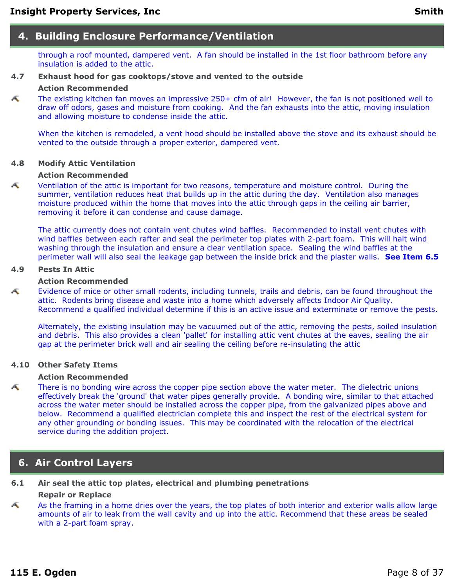## **4. Building Enclosure Performance/Ventilation**

through a roof mounted, dampered vent. A fan should be installed in the 1st floor bathroom before any insulation is added to the attic.

#### **4.7 Exhaust hood for gas cooktops/stove and vented to the outside**

#### **Action Recommended**

Æ The existing kitchen fan moves an impressive 250+ cfm of air! However, the fan is not positioned well to draw off odors, gases and moisture from cooking. And the fan exhausts into the attic, moving insulation and allowing moisture to condense inside the attic.

When the kitchen is remodeled, a vent hood should be installed above the stove and its exhaust should be vented to the outside through a proper exterior, dampered vent.

#### **4.8 Modify Attic Ventilation**

#### **Action Recommended**

Ventilation of the attic is important for two reasons, temperature and moisture control. During the summer, ventilation reduces heat that builds up in the attic during the day. Ventilation also manages moisture produced within the home that moves into the attic through gaps in the ceiling air barrier, removing it before it can condense and cause damage.

The attic currently does not contain vent chutes wind baffles. Recommended to install vent chutes with wind baffles between each rafter and seal the perimeter top plates with 2-part foam. This will halt wind washing through the insulation and ensure a clear ventilation space. Sealing the wind baffles at the perimeter wall will also seal the leakage gap between the inside brick and the plaster walls. **See Item 6.5**

#### **4.9 Pests In Attic**

#### **Action Recommended**

Evidence of mice or other small rodents, including tunnels, trails and debris, can be found throughout the Æ attic. Rodents bring disease and waste into a home which adversely affects Indoor Air Quality. Recommend a qualified individual determine if this is an active issue and exterminate or remove the pests.

Alternately, the existing insulation may be vacuumed out of the attic, removing the pests, soiled insulation and debris. This also provides a clean 'pallet' for installing attic vent chutes at the eaves, sealing the air gap at the perimeter brick wall and air sealing the ceiling before re-insulating the attic

#### **4.10 Other Safety Items**

#### **Action Recommended**

There is no bonding wire across the copper pipe section above the water meter. The dielectric unions Æ effectively break the 'ground' that water pipes generally provide. A bonding wire, similar to that attached across the water meter should be installed across the copper pipe, from the galvanized pipes above and below. Recommend a qualified electrician complete this and inspect the rest of the electrical system for any other grounding or bonding issues. This may be coordinated with the relocation of the electrical service during the addition project.

## **6. Air Control Layers**

#### **6.1 Air seal the attic top plates, electrical and plumbing penetrations**

#### **Repair or Replace**

As the framing in a home dries over the years, the top plates of both interior and exterior walls allow large Æ amounts of air to leak from the wall cavity and up into the attic. Recommend that these areas be sealed with a 2-part foam spray.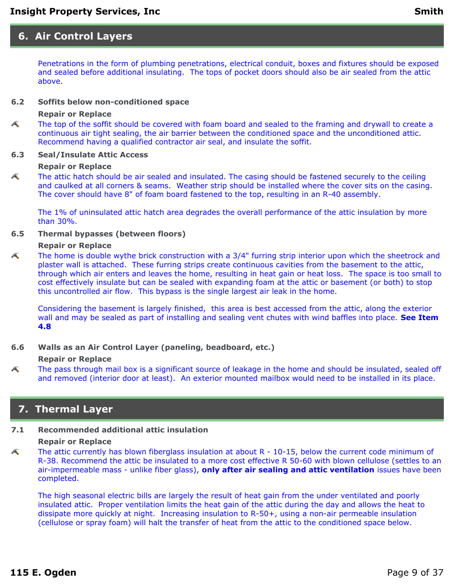Penetrations in the form of plumbing penetrations, electrical conduit, boxes and fixtures should be exposed and sealed before additional insulating. The tops of pocket doors should also be air sealed from the attic above.

#### **6.2 Soffits below non-conditioned space**

#### **Repair or Replace**

Æ The top of the soffit should be covered with foam board and sealed to the framing and drywall to create a continuous air tight sealing, the air barrier between the conditioned space and the unconditioned attic. Recommend having a qualified contractor air seal, and insulate the soffit.

#### **6.3 Seal/Insulate Attic Access**

#### **Repair or Replace**

Æ The attic hatch should be air sealed and insulated. The casing should be fastened securely to the ceiling and caulked at all corners & seams. Weather strip should be installed where the cover sits on the casing. The cover should have 8" of foam board fastened to the top, resulting in an R-40 assembly.

The 1% of uninsulated attic hatch area degrades the overall performance of the attic insulation by more than 30%.

#### **6.5 Thermal bypasses (between floors)**

#### **Repair or Replace**

Æ The home is double wythe brick construction with a 3/4" furring strip interior upon which the sheetrock and plaster wall is attached. These furring strips create continuous cavities from the basement to the attic, through which air enters and leaves the home, resulting in heat gain or heat loss. The space is too small to cost effectively insulate but can be sealed with expanding foam at the attic or basement (or both) to stop this uncontrolled air flow. This bypass is the single largest air leak in the home.

Considering the basement is largely finished, this area is best accessed from the attic, along the exterior wall and may be sealed as part of installing and sealing vent chutes with wind baffles into place. **See Item 4.8**

### **6.6 Walls as an Air Control Layer (paneling, beadboard, etc.)**

#### **Repair or Replace**

The pass through mail box is a significant source of leakage in the home and should be insulated, sealed off Æ and removed (interior door at least). An exterior mounted mailbox would need to be installed in its place.

## **7. Thermal Layer**

## **7.1 Recommended additional attic insulation**

#### **Repair or Replace**

Æ The attic currently has blown fiberglass insulation at about R - 10-15, below the current code minimum of R-38. Recommend the attic be insulated to a more cost effective R 50-60 with blown cellulose (settles to an air-impermeable mass - unlike fiber glass), **only after air sealing and attic ventilation** issues have been completed.

The high seasonal electric bills are largely the result of heat gain from the under ventilated and poorly insulated attic. Proper ventilation limits the heat gain of the attic during the day and allows the heat to dissipate more quickly at night. Increasing insulation to R-50+, using a non-air permeable insulation (cellulose or spray foam) will halt the transfer of heat from the attic to the conditioned space below.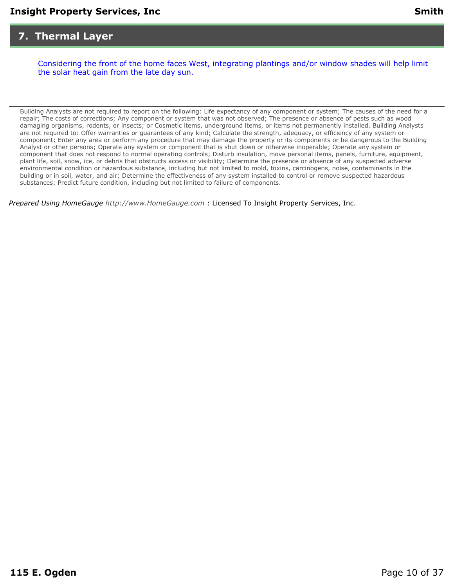Considering the front of the home faces West, integrating plantings and/or window shades will help limit the solar heat gain from the late day sun.

Building Analysts are not required to report on the following: Life expectancy of any component or system; The causes of the need for a repair; The costs of corrections; Any component or system that was not observed; The presence or absence of pests such as wood damaging organisms, rodents, or insects; or Cosmetic items, underground items, or items not permanently installed. Building Analysts are not required to: Offer warranties or guarantees of any kind; Calculate the strength, adequacy, or efficiency of any system or component; Enter any area or perform any procedure that may damage the property or its components or be dangerous to the Building Analyst or other persons; Operate any system or component that is shut down or otherwise inoperable; Operate any system or component that does not respond to normal operating controls; Disturb insulation, move personal items, panels, furniture, equipment, plant life, soil, snow, ice, or debris that obstructs access or visibility; Determine the presence or absence of any suspected adverse environmental condition or hazardous substance, including but not limited to mold, toxins, carcinogens, noise, contaminants in the building or in soil, water, and air; Determine the effectiveness of any system installed to control or remove suspected hazardous substances; Predict future condition, including but not limited to failure of components.

*Prepared Using HomeGauge <http://www.HomeGauge.com>* : Licensed To Insight Property Services, Inc.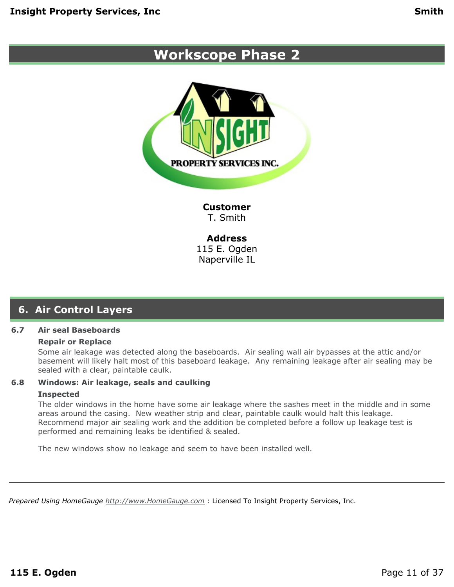# **Workscope Phase 2**

<span id="page-10-0"></span>

**Customer** T. Smith

**Address** 115 E. Ogden Naperville IL

## **6. Air Control Layers**

#### **6.7 Air seal Baseboards**

#### **Repair or Replace**

Some air leakage was detected along the baseboards. Air sealing wall air bypasses at the attic and/or basement will likely halt most of this baseboard leakage. Any remaining leakage after air sealing may be sealed with a clear, paintable caulk.

#### **6.8 Windows: Air leakage, seals and caulking**

#### **Inspected**

The older windows in the home have some air leakage where the sashes meet in the middle and in some areas around the casing. New weather strip and clear, paintable caulk would halt this leakage. Recommend major air sealing work and the addition be completed before a follow up leakage test is performed and remaining leaks be identified & sealed.

The new windows show no leakage and seem to have been installed well.

*Prepared Using HomeGauge <http://www.HomeGauge.com>* : Licensed To Insight Property Services, Inc.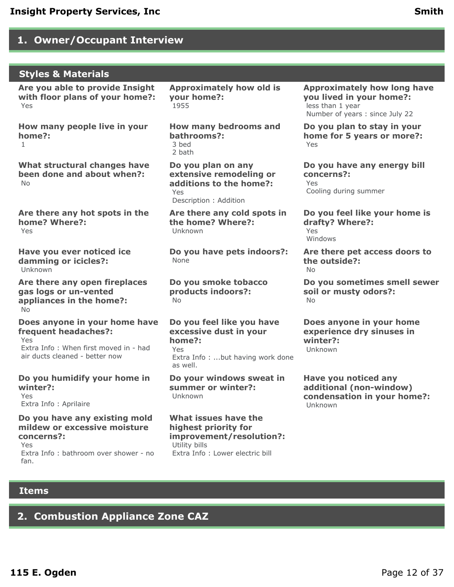## <span id="page-11-0"></span>**1. Owner/Occupant Interview**

#### **Styles & Materials**

**Are you able to provide Insight with floor plans of your home?:** Yes

**How many people live in your home?:** 1

**What structural changes have been done and about when?:**  $N<sub>0</sub>$ 

**Are there any hot spots in the home? Where?:** Yes

**Have you ever noticed ice damming or icicles?:** Unknown

**Are there any open fireplaces gas logs or un-vented appliances in the home?:** No

**Does anyone in your home have frequent headaches?:** Yes

Extra Info : When first moved in - had air ducts cleaned - better now

#### **Do you humidify your home in winter?:** Yes Extra Info : Aprilaire

#### **Do you have any existing mold mildew or excessive moisture concerns?:**

Yes Extra Info : bathroom over shower - no fan.

**Approximately how old is your home?:** 1955

**How many bedrooms and bathrooms?:** 3 bed 2 bath

**Do you plan on any extensive remodeling or additions to the home?:** Yes Description : Addition

**Are there any cold spots in the home? Where?:** Unknown

**Do you have pets indoors?:** None

**Do you smoke tobacco products indoors?:** No

#### **Do you feel like you have excessive dust in your home?:**

**Y**es Extra Info : ...but having work done as well.

**Do your windows sweat in summer or winter?:** Unknown

**What issues have the highest priority for improvement/resolution?:** Utility bills Extra Info : Lower electric bill

**Approximately how long have you lived in your home?:** less than 1 year Number of years : since July 22

**Do you plan to stay in your home for 5 years or more?:** Yes

**Do you have any energy bill concerns?:** Yes Cooling during summer

**Do you feel like your home is drafty? Where?:** Yes Windows

**Are there pet access doors to the outside?:**  $N<sub>0</sub>$ 

**Do you sometimes smell sewer soil or musty odors?:** No

**Does anyone in your home experience dry sinuses in winter?:** Unknown

**Have you noticed any additional (non-window) condensation in your home?:** Unknown

## **Items**

## <span id="page-11-1"></span>**2. Combustion Appliance Zone CAZ**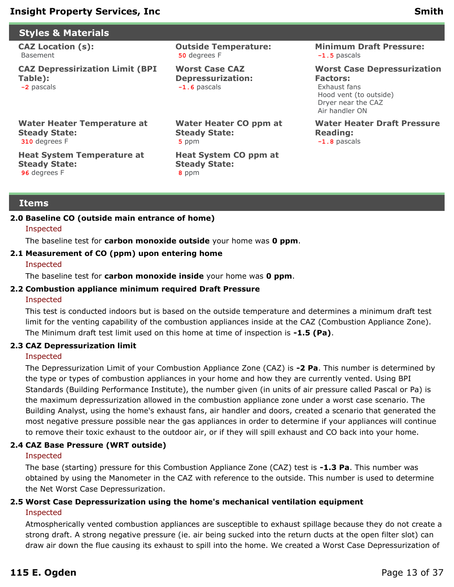## **Styles & Materials**

**CAZ Location (s):** Basement

**CAZ Depressirization Limit (BPI Table): -2** pascals

**Outside Temperature: 50** degrees F

**Worst Case CAZ Depressurization: -1.6** pascals

**Water Heater Temperature at Steady State: 310** degrees F

**Heat System Temperature at Steady State: 96** degrees F

**Water Heater CO ppm at Steady State: 5** ppm

**Heat System CO ppm at Steady State: 8** ppm

**Minimum Draft Pressure: -1.5** pascals

**Worst Case Depressurization Factors:**

Exhaust fans Hood vent (to outside) Dryer near the CAZ Air handler ON

**Water Heater Draft Pressure Reading:**

**-1.8** pascals

### **Items**

#### **2.0 Baseline CO (outside main entrance of home)**

Inspected

The baseline test for **carbon monoxide outside** your home was **0 ppm**.

#### **2.1 Measurement of CO (ppm) upon entering home**

Inspected

The baseline test for **carbon monoxide inside** your home was **0 ppm**.

#### **2.2 Combustion appliance minimum required Draft Pressure**

#### Inspected

This test is conducted indoors but is based on the outside temperature and determines a minimum draft test limit for the venting capability of the combustion appliances inside at the CAZ (Combustion Appliance Zone). The Minimum draft test limit used on this home at time of inspection is **-1.5 (Pa)**.

#### **2.3 CAZ Depressurization limit**

#### Inspected

The Depressurization Limit of your Combustion Appliance Zone (CAZ) is **-2 Pa**. This number is determined by the type or types of combustion appliances in your home and how they are currently vented. Using BPI Standards (Building Performance Institute), the number given (in units of air pressure called Pascal or Pa) is the maximum depressurization allowed in the combustion appliance zone under a worst case scenario. The Building Analyst, using the home's exhaust fans, air handler and doors, created a scenario that generated the most negative pressure possible near the gas appliances in order to determine if your appliances will continue to remove their toxic exhaust to the outdoor air, or if they will spill exhaust and CO back into your home.

#### **2.4 CAZ Base Pressure (WRT outside)**

#### Inspected

The base (starting) pressure for this Combustion Appliance Zone (CAZ) test is **-1.3 Pa**. This number was obtained by using the Manometer in the CAZ with reference to the outside. This number is used to determine the Net Worst Case Depressurization.

## **2.5 Worst Case Depressurization using the home's mechanical ventilation equipment**

#### Inspected

Atmospherically vented combustion appliances are susceptible to exhaust spillage because they do not create a strong draft. A strong negative pressure (ie. air being sucked into the return ducts at the open filter slot) can draw air down the flue causing its exhaust to spill into the home. We created a Worst Case Depressurization of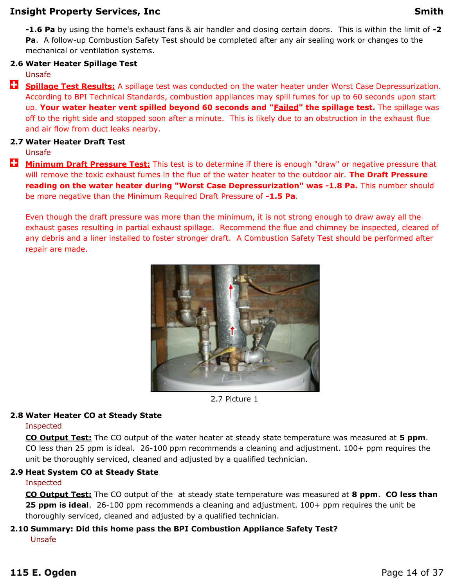**-1.6 Pa** by using the home's exhaust fans & air handler and closing certain doors. This is within the limit of **-2 Pa**. A follow-up Combustion Safety Test should be completed after any air sealing work or changes to the mechanical or ventilation systems.

#### **2.6 Water Heater Spillage Test**

Unsafe

**Spillage Test Results:** A spillage test was conducted on the water heater under Worst Case Depressurization. According to BPI Technical Standards, combustion appliances may spill fumes for up to 60 seconds upon start up. **Your water heater vent spilled beyond 60 seconds and "Failed" the spillage test.** The spillage was off to the right side and stopped soon after a minute. This is likely due to an obstruction in the exhaust flue and air flow from duct leaks nearby.

#### **2.7 Water Heater Draft Test**

Unsafe

**Minimum Draft Pressure Test:** This test is to determine if there is enough "draw" or negative pressure that will remove the toxic exhaust fumes in the flue of the water heater to the outdoor air. **The Draft Pressure reading on the water heater during "Worst Case Depressurization" was -1.8 Pa.** This number should be more negative than the Minimum Required Draft Pressure of **-1.5 Pa**.

Even though the draft pressure was more than the minimum, it is not strong enough to draw away all the exhaust gases resulting in partial exhaust spillage. Recommend the flue and chimney be inspected, cleared of any debris and a liner installed to foster stronger draft. A Combustion Safety Test should be performed after repair are made.



2.7 Picture 1

### **2.8 Water Heater CO at Steady State**

Inspected

**CO Output Test:** The CO output of the water heater at steady state temperature was measured at **5 ppm**. CO less than 25 ppm is ideal. 26-100 ppm recommends a cleaning and adjustment. 100+ ppm requires the unit be thoroughly serviced, cleaned and adjusted by a qualified technician.

### **2.9 Heat System CO at Steady State**

#### Inspected

**CO Output Test:** The CO output of the at steady state temperature was measured at **8 ppm**. **CO less than 25 ppm is ideal**. 26-100 ppm recommends a cleaning and adjustment. 100+ ppm requires the unit be thoroughly serviced, cleaned and adjusted by a qualified technician.

## **2.10 Summary: Did this home pass the BPI Combustion Appliance Safety Test?** Unsafe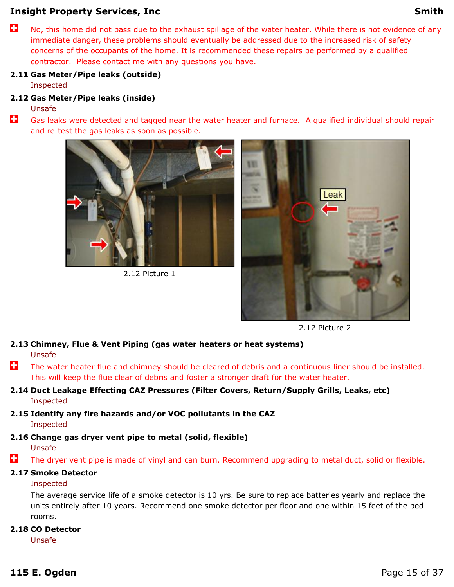- ÷ No, this home did not pass due to the exhaust spillage of the water heater. While there is not evidence of any immediate danger, these problems should eventually be addressed due to the increased risk of safety concerns of the occupants of the home. It is recommended these repairs be performed by a qualified contractor. Please contact me with any questions you have.
- **2.11 Gas Meter/Pipe leaks (outside)**

Inspected

- **2.12 Gas Meter/Pipe leaks (inside)**
	- Unsafe
- ÷ Gas leaks were detected and tagged near the water heater and furnace. A qualified individual should repair and re-test the gas leaks as soon as possible.



2.12 Picture 1



2.12 Picture 2

- **2.13 Chimney, Flue & Vent Piping (gas water heaters or heat systems)** Unsafe
- ÷ The water heater flue and chimney should be cleared of debris and a continuous liner should be installed. This will keep the flue clear of debris and foster a stronger draft for the water heater.
- **2.14 Duct Leakage Effecting CAZ Pressures (Filter Covers, Return/Supply Grills, Leaks, etc)** Inspected
- **2.15 Identify any fire hazards and/or VOC pollutants in the CAZ** Inspected
- **2.16 Change gas dryer vent pipe to metal (solid, flexible)**
	- Unsafe
- Ф The dryer vent pipe is made of vinyl and can burn. Recommend upgrading to metal duct, solid or flexible.

### **2.17 Smoke Detector**

#### Inspected

The average service life of a smoke detector is 10 yrs. Be sure to replace batteries yearly and replace the units entirely after 10 years. Recommend one smoke detector per floor and one within 15 feet of the bed rooms.

#### **2.18 CO Detector**

Unsafe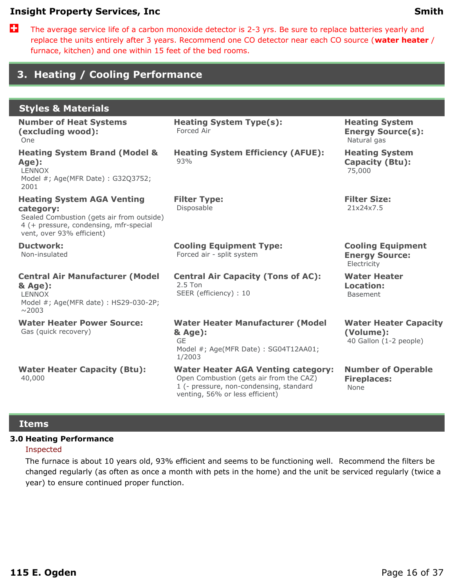÷ The average service life of a carbon monoxide detector is 2-3 yrs. Be sure to replace batteries yearly and replace the units entirely after 3 years. Recommend one CO detector near each CO source (**water heater** / furnace, kitchen) and one within 15 feet of the bed rooms.

## <span id="page-15-0"></span>**3. Heating / Cooling Performance**

| <b>Styles &amp; Materials</b>                                                                                                                                      |                                                                                                                                                                    |                                                                     |  |  |
|--------------------------------------------------------------------------------------------------------------------------------------------------------------------|--------------------------------------------------------------------------------------------------------------------------------------------------------------------|---------------------------------------------------------------------|--|--|
| <b>Number of Heat Systems</b><br>(excluding wood):<br>One                                                                                                          | <b>Heating System Type(s):</b><br>Forced Air                                                                                                                       | <b>Heating System</b><br><b>Energy Source(s):</b><br>Natural gas    |  |  |
| <b>Heating System Brand (Model &amp;</b><br>Age):<br><b>LENNOX</b><br>Model #; Age(MFR Date) : G32Q3752;<br>2001                                                   | <b>Heating System Efficiency (AFUE):</b><br>93%                                                                                                                    | <b>Heating System</b><br><b>Capacity (Btu):</b><br>75,000           |  |  |
| <b>Heating System AGA Venting</b><br>category:<br>Sealed Combustion (gets air from outside)<br>4 (+ pressure, condensing, mfr-special<br>vent, over 93% efficient) | <b>Filter Type:</b><br>Disposable                                                                                                                                  | <b>Filter Size:</b><br>21x24x7.5                                    |  |  |
| <b>Ductwork:</b><br>Non-insulated                                                                                                                                  | <b>Cooling Equipment Type:</b><br>Forced air - split system                                                                                                        | <b>Cooling Equipment</b><br><b>Energy Source:</b><br>Electricity    |  |  |
| <b>Central Air Manufacturer (Model</b><br>& Age):<br><b>LENNOX</b><br>Model #; Age(MFR date) : HS29-030-2P;<br>~2003                                               | <b>Central Air Capacity (Tons of AC):</b><br>$2.5$ Ton<br>SEER (efficiency): 10                                                                                    | <b>Water Heater</b><br><b>Location:</b><br><b>Basement</b>          |  |  |
| <b>Water Heater Power Source:</b><br>Gas (quick recovery)                                                                                                          | <b>Water Heater Manufacturer (Model</b><br>& Age):<br>GF<br>Model #; Age(MFR Date) : SG04T12AA01;<br>1/2003                                                        | <b>Water Heater Capacity</b><br>(Volume):<br>40 Gallon (1-2 people) |  |  |
| <b>Water Heater Capacity (Btu):</b><br>40,000                                                                                                                      | <b>Water Heater AGA Venting category:</b><br>Open Combustion (gets air from the CAZ)<br>1 (- pressure, non-condensing, standard<br>venting, 56% or less efficient) | <b>Number of Operable</b><br><b>Fireplaces:</b><br>None             |  |  |

### **Items**

#### **3.0 Heating Performance**

#### Inspected

The furnace is about 10 years old, 93% efficient and seems to be functioning well. Recommend the filters be changed regularly (as often as once a month with pets in the home) and the unit be serviced regularly (twice a year) to ensure continued proper function.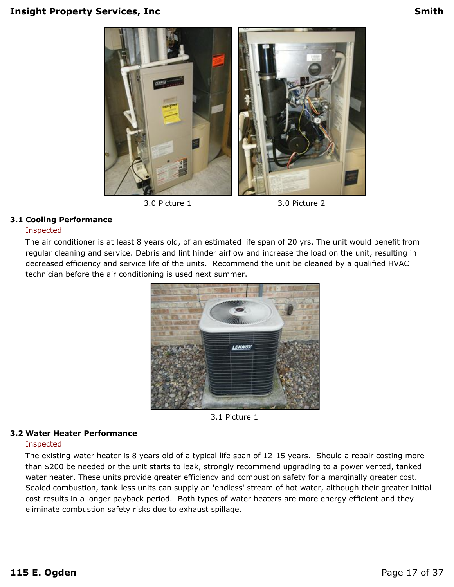



#### **3.1 Cooling Performance**

#### Inspected

The air conditioner is at least 8 years old, of an estimated life span of 20 yrs. The unit would benefit from regular cleaning and service. Debris and lint hinder airflow and increase the load on the unit, resulting in decreased efficiency and service life of the units. Recommend the unit be cleaned by a qualified HVAC technician before the air conditioning is used next summer.



3.1 Picture 1

## **3.2 Water Heater Performance**

### Inspected

The existing water heater is 8 years old of a typical life span of 12-15 years. Should a repair costing more than \$200 be needed or the unit starts to leak, strongly recommend upgrading to a power vented, tanked water heater. These units provide greater efficiency and combustion safety for a marginally greater cost. Sealed combustion, tank-less units can supply an 'endless' stream of hot water, although their greater initial cost results in a longer payback period. Both types of water heaters are more energy efficient and they eliminate combustion safety risks due to exhaust spillage.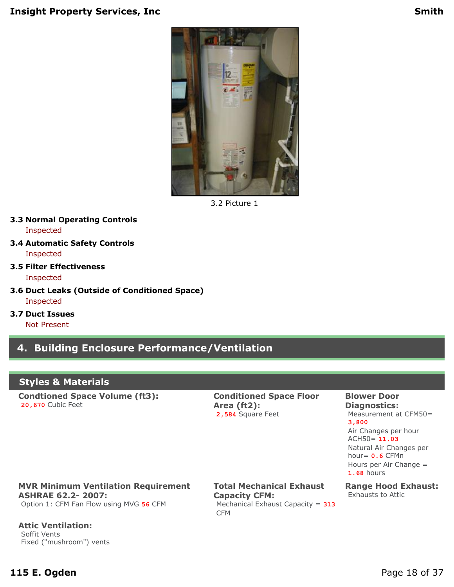

3.2 Picture 1

## **3.3 Normal Operating Controls**

Inspected

#### **3.4 Automatic Safety Controls** Inspected

- **3.5 Filter Effectiveness** Inspected
- **3.6 Duct Leaks (Outside of Conditioned Space)** Inspected
- **3.7 Duct Issues**

Not Present

## <span id="page-17-0"></span>**4. Building Enclosure Performance/Ventilation**

## **Styles & Materials**

**Condtioned Space Volume (ft3): 20,670** Cubic Feet

**Conditioned Space Floor Area (ft2): 2,584** Square Feet

#### **Blower Door Diagnostics:** Measurement at CFM50= **3,800** Air Changes per hour ACH50= **11.03** Natural Air Changes per hour= **0.6** CFMn Hours per Air Change = **1.68** hours

**MVR Minimum Ventilation Requirement ASHRAE 62.2- 2007:** Option 1: CFM Fan Flow using MVG **56** CFM

**Attic Ventilation:** Soffit Vents Fixed ("mushroom") vents

## **Total Mechanical Exhaust Capacity CFM:**

Mechanical Exhaust Capacity = **313** CFM

## **Range Hood Exhaust:** Exhausts to Attic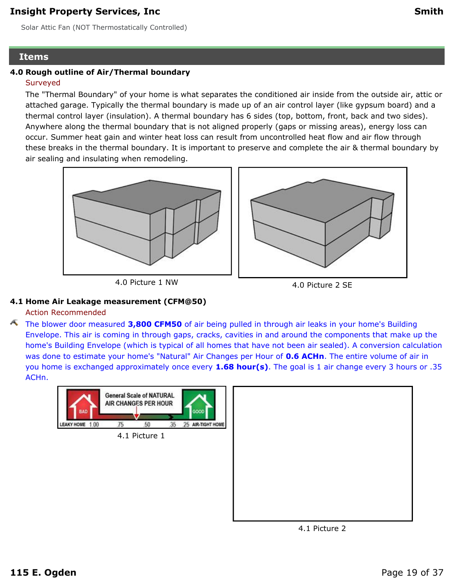## **Items**

### **4.0 Rough outline of Air/Thermal boundary**

#### Surveyed

The "Thermal Boundary" of your home is what separates the conditioned air inside from the outside air, attic or attached garage. Typically the thermal boundary is made up of an air control layer (like gypsum board) and a thermal control layer (insulation). A thermal boundary has 6 sides (top, bottom, front, back and two sides). Anywhere along the thermal boundary that is not aligned properly (gaps or missing areas), energy loss can occur. Summer heat gain and winter heat loss can result from uncontrolled heat flow and air flow through these breaks in the thermal boundary. It is important to preserve and complete the air & thermal boundary by air sealing and insulating when remodeling.







## **4.1 Home Air Leakage measurement (CFM@50)**

Action Recommended

The blower door measured **3,800 CFM50** of air being pulled in through air leaks in your home's Building Envelope. This air is coming in through gaps, cracks, cavities in and around the components that make up the home's Building Envelope (which is typical of all homes that have not been air sealed). A conversion calculation was done to estimate your home's "Natural" Air Changes per Hour of **0.6 ACHn**. The entire volume of air in you home is exchanged approximately once every **1.68 hour(s)**. The goal is 1 air change every 3 hours or .35 ACHn.



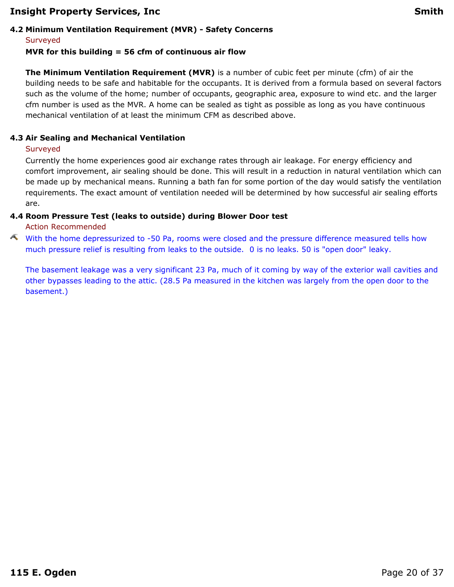## **4.2 Minimum Ventilation Requirement (MVR) - Safety Concerns**

Surveyed

#### **MVR for this building = 56 cfm of continuous air flow**

**The Minimum Ventilation Requirement (MVR)** is a number of cubic feet per minute (cfm) of air the building needs to be safe and habitable for the occupants. It is derived from a formula based on several factors such as the volume of the home; number of occupants, geographic area, exposure to wind etc. and the larger cfm number is used as the MVR. A home can be sealed as tight as possible as long as you have continuous mechanical ventilation of at least the minimum CFM as described above.

#### **4.3 Air Sealing and Mechanical Ventilation**

#### Surveyed

Currently the home experiences good air exchange rates through air leakage. For energy efficiency and comfort improvement, air sealing should be done. This will result in a reduction in natural ventilation which can be made up by mechanical means. Running a bath fan for some portion of the day would satisfy the ventilation requirements. The exact amount of ventilation needed will be determined by how successful air sealing efforts are.

#### **4.4 Room Pressure Test (leaks to outside) during Blower Door test**

Action Recommended

With the home depressurized to -50 Pa, rooms were closed and the pressure difference measured tells how much pressure relief is resulting from leaks to the outside. 0 is no leaks. 50 is "open door" leaky.

The basement leakage was a very significant 23 Pa, much of it coming by way of the exterior wall cavities and other bypasses leading to the attic. (28.5 Pa measured in the kitchen was largely from the open door to the basement.)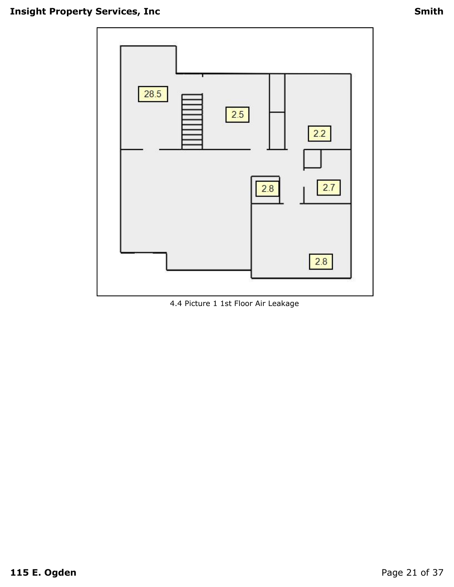

4.4 Picture 1 1st Floor Air Leakage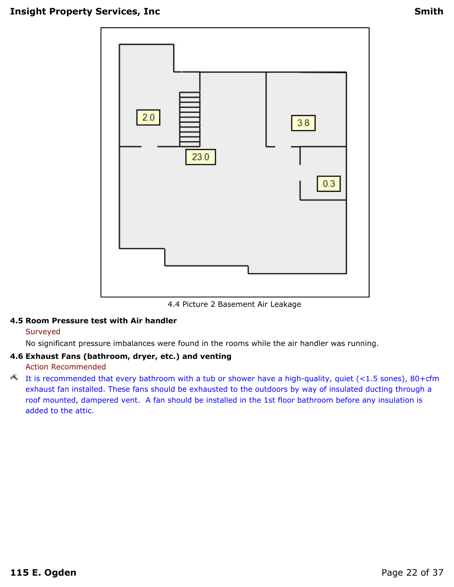

4.4 Picture 2 Basement Air Leakage

#### **4.5 Room Pressure test with Air handler**

#### Surveyed

No significant pressure imbalances were found in the rooms while the air handler was running.

### **4.6 Exhaust Fans (bathroom, dryer, etc.) and venting**

Action Recommended

It is recommended that every bathroom with a tub or shower have a high-quality, quiet (<1.5 sones), 80+cfm exhaust fan installed. These fans should be exhausted to the outdoors by way of insulated ducting through a roof mounted, dampered vent. A fan should be installed in the 1st floor bathroom before any insulation is added to the attic.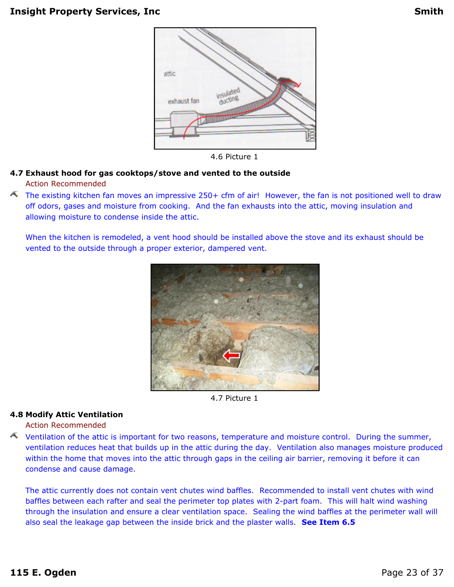

4.6 Picture 1

- **4.7 Exhaust hood for gas cooktops/stove and vented to the outside** Action Recommended
- The existing kitchen fan moves an impressive 250+ cfm of air! However, the fan is not positioned well to draw off odors, gases and moisture from cooking. And the fan exhausts into the attic, moving insulation and allowing moisture to condense inside the attic.

When the kitchen is remodeled, a vent hood should be installed above the stove and its exhaust should be vented to the outside through a proper exterior, dampered vent.



4.7 Picture 1

#### **4.8 Modify Attic Ventilation**

Action Recommended

Ventilation of the attic is important for two reasons, temperature and moisture control. During the summer, ventilation reduces heat that builds up in the attic during the day. Ventilation also manages moisture produced within the home that moves into the attic through gaps in the ceiling air barrier, removing it before it can condense and cause damage.

The attic currently does not contain vent chutes wind baffles. Recommended to install vent chutes with wind baffles between each rafter and seal the perimeter top plates with 2-part foam. This will halt wind washing through the insulation and ensure a clear ventilation space. Sealing the wind baffles at the perimeter wall will also seal the leakage gap between the inside brick and the plaster walls. **See Item 6.5**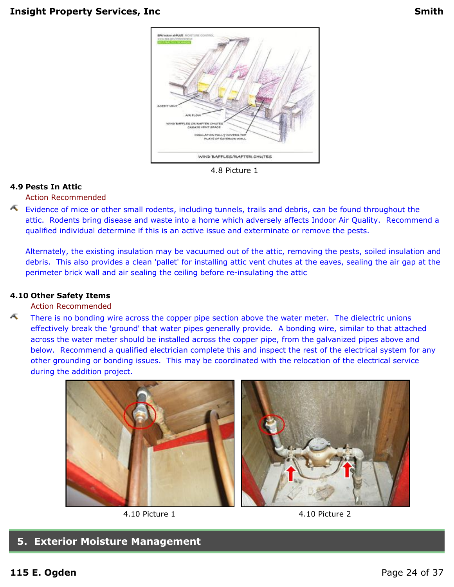

4.8 Picture 1

#### **4.9 Pests In Attic**

Action Recommended

Evidence of mice or other small rodents, including tunnels, trails and debris, can be found throughout the attic. Rodents bring disease and waste into a home which adversely affects Indoor Air Quality. Recommend a qualified individual determine if this is an active issue and exterminate or remove the pests.

Alternately, the existing insulation may be vacuumed out of the attic, removing the pests, soiled insulation and debris. This also provides a clean 'pallet' for installing attic vent chutes at the eaves, sealing the air gap at the perimeter brick wall and air sealing the ceiling before re-insulating the attic

## **4.10 Other Safety Items**

## Action Recommended

Æ There is no bonding wire across the copper pipe section above the water meter. The dielectric unions effectively break the 'ground' that water pipes generally provide. A bonding wire, similar to that attached across the water meter should be installed across the copper pipe, from the galvanized pipes above and below. Recommend a qualified electrician complete this and inspect the rest of the electrical system for any other grounding or bonding issues. This may be coordinated with the relocation of the electrical service during the addition project.



4.10 Picture 1 4.10 Picture 2





## <span id="page-23-0"></span>**5. Exterior Moisture Management**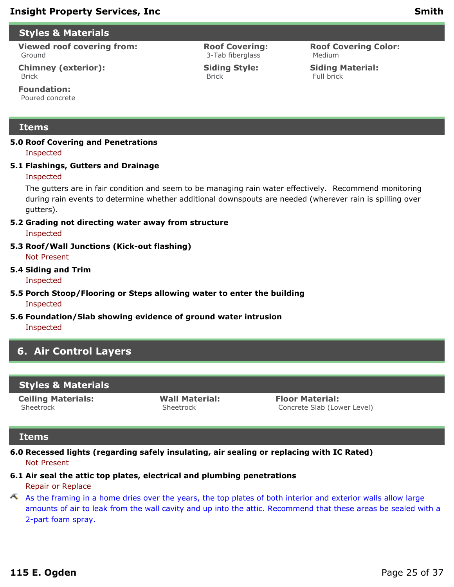## **Styles & Materials**

**Viewed roof covering from:** Ground

**Chimney (exterior):** Brick

**Foundation:** Poured concrete

## **Items**

#### **5.0 Roof Covering and Penetrations** Inspected

# **5.1 Flashings, Gutters and Drainage**

#### Inspected

The gutters are in fair condition and seem to be managing rain water effectively. Recommend monitoring during rain events to determine whether additional downspouts are needed (wherever rain is spilling over gutters).

- **5.2 Grading not directing water away from structure** Inspected
- **5.3 Roof/Wall Junctions (Kick-out flashing)** Not Present

#### **5.4 Siding and Trim**

Inspected

- **5.5 Porch Stoop/Flooring or Steps allowing water to enter the building** Inspected
- **5.6 Foundation/Slab showing evidence of ground water intrusion** Inspected

## <span id="page-24-0"></span>**6. Air Control Layers**

## **Styles & Materials**

**Ceiling Materials:** Sheetrock

**Wall Material:** Sheetrock

**Floor Material:** Concrete Slab (Lower Level)

### **Items**

**6.0 Recessed lights (regarding safely insulating, air sealing or replacing with IC Rated)** Not Present

## **6.1 Air seal the attic top plates, electrical and plumbing penetrations**

Repair or Replace

As the framing in a home dries over the years, the top plates of both interior and exterior walls allow large amounts of air to leak from the wall cavity and up into the attic. Recommend that these areas be sealed with a 2-part foam spray.

**Roof Covering:** 3-Tab fiberglass

**Siding Style:** Brick

**Roof Covering Color:** Medium

**Siding Material:** Full brick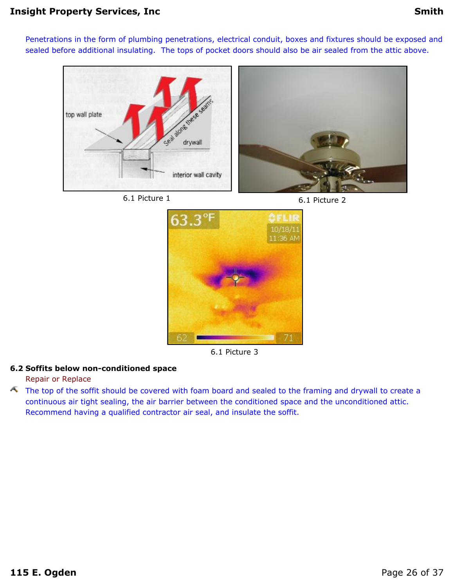Penetrations in the form of plumbing penetrations, electrical conduit, boxes and fixtures should be exposed and sealed before additional insulating. The tops of pocket doors should also be air sealed from the attic above.



6.1 Picture 1 6.1 Picture 2



6.1 Picture 3

#### **6.2 Soffits below non-conditioned space**

#### Repair or Replace

The top of the soffit should be covered with foam board and sealed to the framing and drywall to create a continuous air tight sealing, the air barrier between the conditioned space and the unconditioned attic. Recommend having a qualified contractor air seal, and insulate the soffit.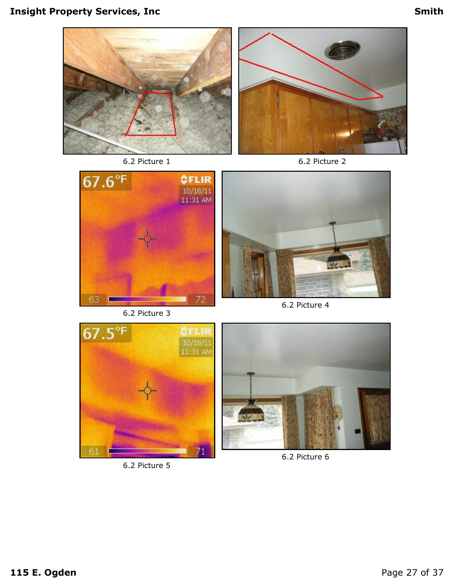







6.2 Picture 3



6.2 Picture 4



6.2 Picture 5

6.2 Picture 6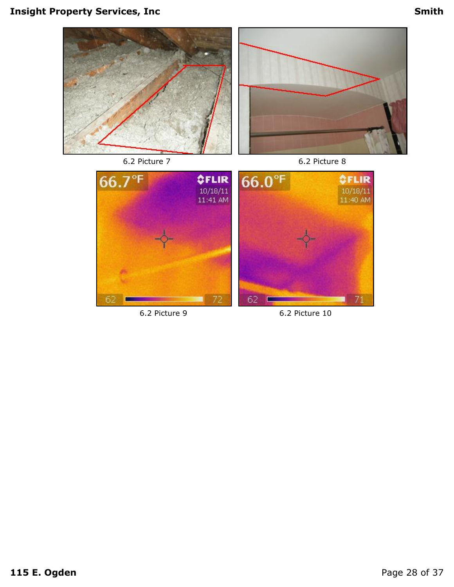



6.2 Picture 9 6.2 Picture 10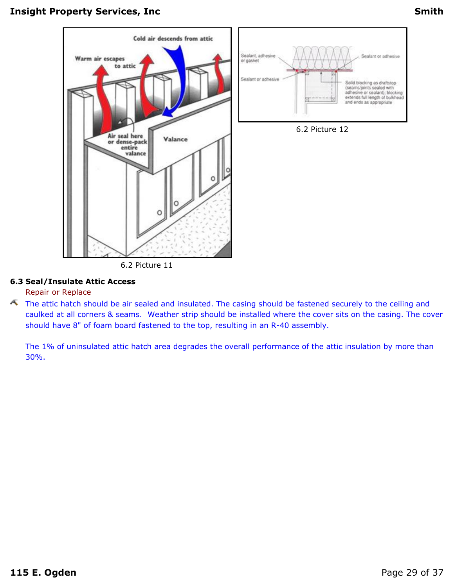

6.2 Picture 11

#### **6.3 Seal/Insulate Attic Access**

#### Repair or Replace

The attic hatch should be air sealed and insulated. The casing should be fastened securely to the ceiling and caulked at all corners & seams. Weather strip should be installed where the cover sits on the casing. The cover should have 8" of foam board fastened to the top, resulting in an R-40 assembly.

The 1% of uninsulated attic hatch area degrades the overall performance of the attic insulation by more than 30%.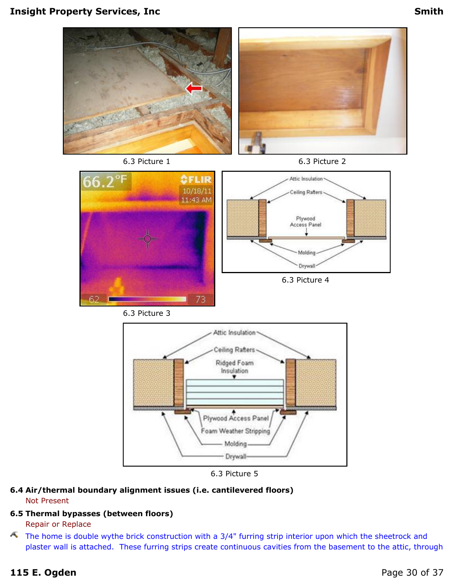







6.3 Picture 3



6.3 Picture 5

### **6.4 Air/thermal boundary alignment issues (i.e. cantilevered floors)**

Not Present

## **6.5 Thermal bypasses (between floors)**

Repair or Replace

The home is double wythe brick construction with a 3/4" furring strip interior upon which the sheetrock and plaster wall is attached. These furring strips create continuous cavities from the basement to the attic, through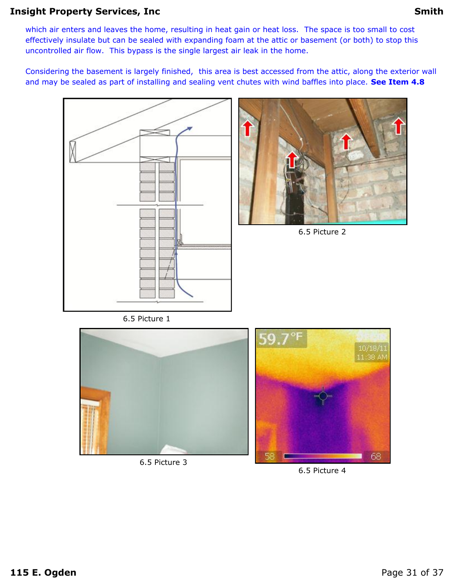which air enters and leaves the home, resulting in heat gain or heat loss. The space is too small to cost effectively insulate but can be sealed with expanding foam at the attic or basement (or both) to stop this uncontrolled air flow. This bypass is the single largest air leak in the home.

Considering the basement is largely finished, this area is best accessed from the attic, along the exterior wall and may be sealed as part of installing and sealing vent chutes with wind baffles into place. **See Item 4.8**





6.5 Picture 2

6.5 Picture 1



6.5 Picture 3

6.5 Picture 4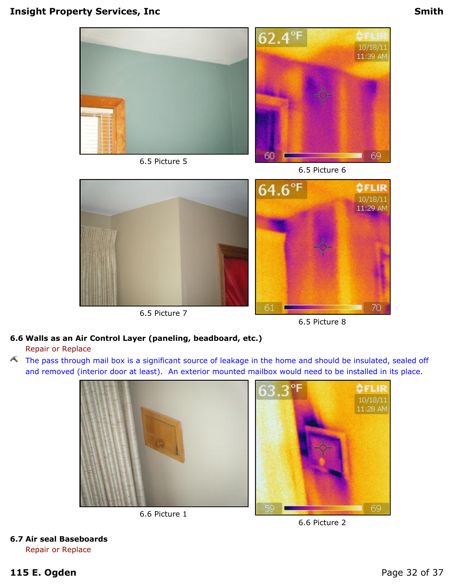

6.5 Picture 5





6.5 Picture 7



6.5 Picture 8

## **6.6 Walls as an Air Control Layer (paneling, beadboard, etc.)**

Repair or Replace

The pass through mail box is a significant source of leakage in the home and should be insulated, sealed off and removed (interior door at least). An exterior mounted mailbox would need to be installed in its place.



6.6 Picture 1



6.6 Picture 2

**6.7 Air seal Baseboards** Repair or Replace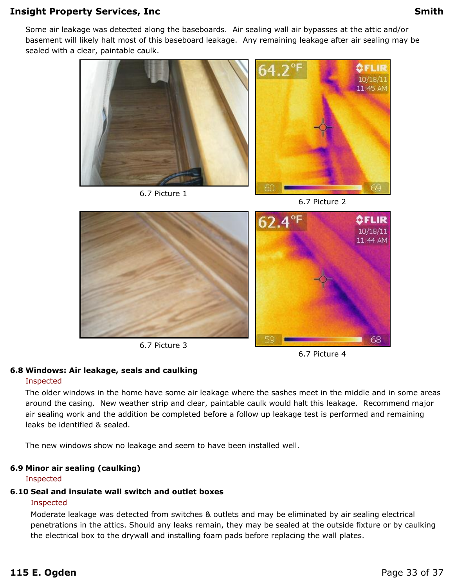Some air leakage was detected along the baseboards. Air sealing wall air bypasses at the attic and/or basement will likely halt most of this baseboard leakage. Any remaining leakage after air sealing may be sealed with a clear, paintable caulk.



6.7 Picture 1





6.7 Picture 3



## **6.8 Windows: Air leakage, seals and caulking**

### Inspected

The older windows in the home have some air leakage where the sashes meet in the middle and in some areas around the casing. New weather strip and clear, paintable caulk would halt this leakage. Recommend major air sealing work and the addition be completed before a follow up leakage test is performed and remaining leaks be identified & sealed.

The new windows show no leakage and seem to have been installed well.

## **6.9 Minor air sealing (caulking)**

Inspected

## **6.10 Seal and insulate wall switch and outlet boxes**

### Inspected

Moderate leakage was detected from switches & outlets and may be eliminated by air sealing electrical penetrations in the attics. Should any leaks remain, they may be sealed at the outside fixture or by caulking the electrical box to the drywall and installing foam pads before replacing the wall plates.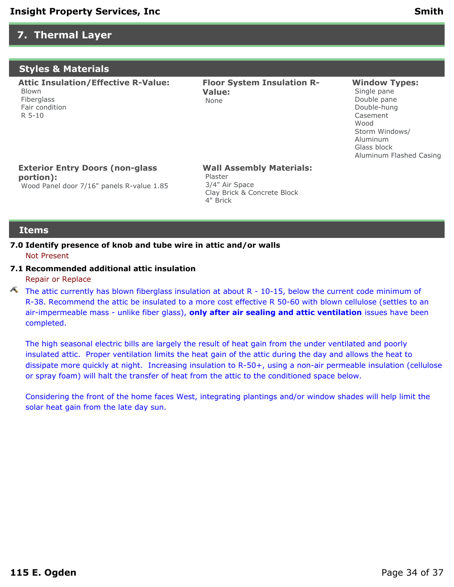## <span id="page-33-0"></span>**7. Thermal Layer**

## **Styles & Materials**

**Attic Insulation/Effective R-Value:** Blown **Fiberglass** Fair condition R 5-10

**Floor System Insulation R-Value:** None

#### **Window Types:** Single pane Double pane Double-hung Casement Wood Storm Windows/ Aluminum Glass block Aluminum Flashed Casing

**Exterior Entry Doors (non-glass portion):** Wood Panel door 7/16" panels R-value 1.85

#### **Wall Assembly Materials:**

Plaster 3/4" Air Space Clay Brick & Concrete Block 4" Brick

#### **Items**

**7.0 Identify presence of knob and tube wire in attic and/or walls** Not Present

#### **7.1 Recommended additional attic insulation**

Repair or Replace

The attic currently has blown fiberglass insulation at about  $R - 10-15$ , below the current code minimum of R-38. Recommend the attic be insulated to a more cost effective R 50-60 with blown cellulose (settles to an air-impermeable mass - unlike fiber glass), **only after air sealing and attic ventilation** issues have been completed.

The high seasonal electric bills are largely the result of heat gain from the under ventilated and poorly insulated attic. Proper ventilation limits the heat gain of the attic during the day and allows the heat to dissipate more quickly at night. Increasing insulation to R-50+, using a non-air permeable insulation (cellulose or spray foam) will halt the transfer of heat from the attic to the conditioned space below.

Considering the front of the home faces West, integrating plantings and/or window shades will help limit the solar heat gain from the late day sun.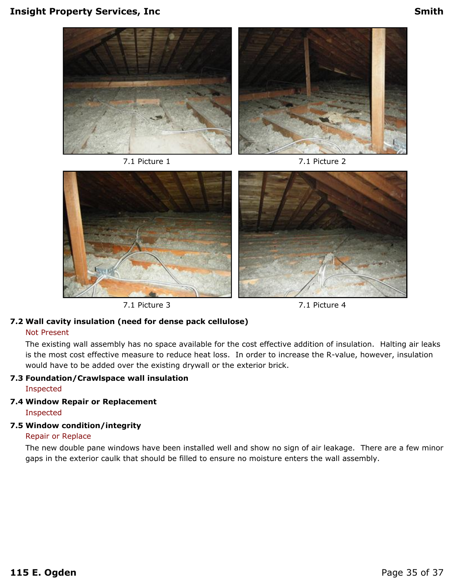





7.1 Picture 3 7.1 Picture 4

### **7.2 Wall cavity insulation (need for dense pack cellulose)**

#### Not Present

The existing wall assembly has no space available for the cost effective addition of insulation. Halting air leaks is the most cost effective measure to reduce heat loss. In order to increase the R-value, however, insulation would have to be added over the existing drywall or the exterior brick.

### **7.3 Foundation/Crawlspace wall insulation**

#### Inspected

### **7.4 Window Repair or Replacement**

Inspected

## **7.5 Window condition/integrity**

## Repair or Replace

The new double pane windows have been installed well and show no sign of air leakage. There are a few minor gaps in the exterior caulk that should be filled to ensure no moisture enters the wall assembly.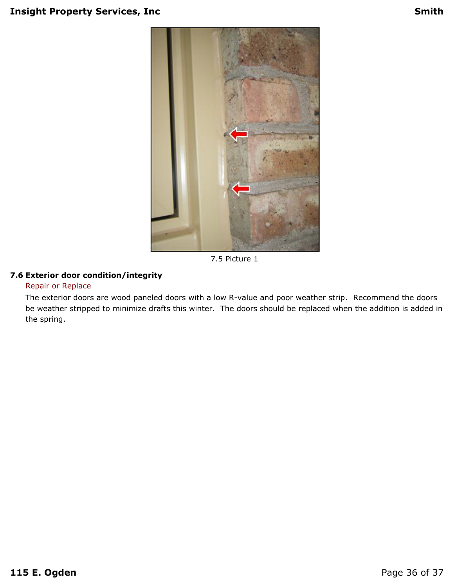

7.5 Picture 1

## **7.6 Exterior door condition/integrity**

#### Repair or Replace

The exterior doors are wood paneled doors with a low R-value and poor weather strip. Recommend the doors be weather stripped to minimize drafts this winter. The doors should be replaced when the addition is added in the spring.